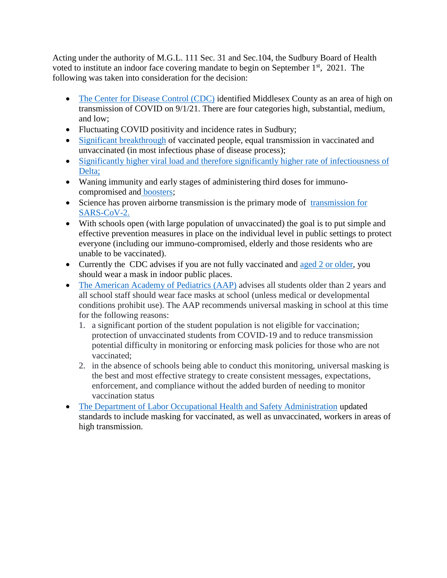Acting under the authority of M.G.L. 111 Sec. 31 and Sec.104, the Sudbury Board of Health voted to institute an indoor face covering mandate to begin on September  $1<sup>st</sup>$ , 2021. The following was taken into consideration for the decision:

- [The Center for Disease Control \(CDC\)](https://covid.cdc.gov/covid-data-tracker/#county-view) identified Middlesex County as an area of high on transmission of COVID on 9/1/21. There are four categories high, substantial, medium, and low;
- Fluctuating COVID positivity and incidence rates in Sudbury;
- [Significant breakthrough](https://www.cdc.gov/vaccines/covid-19/health-departments/breakthrough-cases.html) of vaccinated people, equal transmission in vaccinated and unvaccinated (in most infectious phase of disease process);
- [Significantly higher viral load and therefore significantly higher rate of infectiousness of](https://www.cdc.gov/coronavirus/2019-ncov/variants/delta-variant.html) [Delta;](https://www.cdc.gov/coronavirus/2019-ncov/variants/delta-variant.html)
- Waning immunity and early stages of administering third doses for immunocompromised and [boosters;](https://www.cdc.gov/coronavirus/2019-ncov/vaccines/booster-shot.html)
- Science has proven airborne transmission is the primary mode of [transmission for](https://www.cdc.gov/coronavirus/2019-ncov/community/organizations/business-employers/bars-restaurants.html) [SARS-CoV-2.](https://www.cdc.gov/coronavirus/2019-ncov/community/organizations/business-employers/bars-restaurants.html)
- With schools open (with large population of unvaccinated) the goal is to put simple and effective prevention measures in place on the individual level in public settings to protect everyone (including our immuno-compromised, elderly and those residents who are unable to be vaccinated).
- Currently the CDC advises if you are not fully vaccinated and [aged 2 or older,](https://www.cdc.gov/coronavirus/2019-ncov/community/schools-childcare/child-care-guidance.html) you should wear a mask in indoor public places.
- The American Academy of [Pediatrics](https://www.aap.org/en/pages/2019-novel-coronavirus-covid-19-infections/clinical-guidance/covid-19-planning-considerations-return-to-in-person-education-in-schools/) (AAP) advises all students older than 2 years and all school staff should wear face masks at school (unless medical or developmental conditions prohibit use). The AAP recommends universal masking in school at this time for the following reasons:
	- 1. a significant portion of the student population is not eligible for vaccination; protection of unvaccinated students from COVID-19 and to reduce transmission potential difficulty in monitoring or enforcing mask policies for those who are not vaccinated;
	- 2. in the absence of schools being able to conduct this monitoring, universal masking is the best and most effective strategy to create consistent messages, expectations, enforcement, and compliance without the added burden of needing to monitor vaccination status
- [The Department of Labor Occupational Health and Safety Administration](https://www.osha.gov/coronavirus/safework) updated standards to include masking for vaccinated, as well as unvaccinated, workers in areas of high transmission.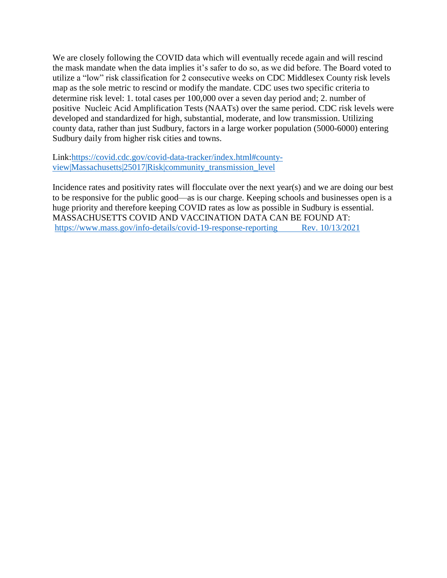We are closely following the COVID data which will eventually recede again and will rescind the mask mandate when the data implies it's safer to do so, as we did before. The Board voted to utilize a "low" risk classification for 2 consecutive weeks on CDC Middlesex County risk levels map as the sole metric to rescind or modify the mandate. CDC uses two specific criteria to determine risk level: 1. total cases per 100,000 over a seven day period and; 2. number of positive Nucleic Acid Amplification Tests (NAATs) over the same period. CDC risk levels were developed and standardized for high, substantial, moderate, and low transmission. Utilizing county data, rather than just Sudbury, factors in a large worker population (5000-6000) entering Sudbury daily from higher risk cities and towns.

Link[:https://covid.cdc.gov/covid-data-tracker/index.html#county](https://covid.cdc.gov/covid-data-tracker/index.html#county-view|Massachusetts|25017|Risk|community_transmission_level)[view|Massachusetts|25017|Risk|community\\_transmission\\_level](https://covid.cdc.gov/covid-data-tracker/index.html#county-view|Massachusetts|25017|Risk|community_transmission_level)

Incidence rates and positivity rates will flocculate over the next year(s) and we are doing our best to be responsive for the public good—as is our charge. Keeping schools and businesses open is a huge priority and therefore keeping COVID rates as low as possible in Sudbury is essential. MASSACHUSETTS COVID AND VACCINATION DATA CAN BE FOUND AT: <https://www.mass.gov/info-details/covid-19-response-reporting>Rev. 10/13/2021